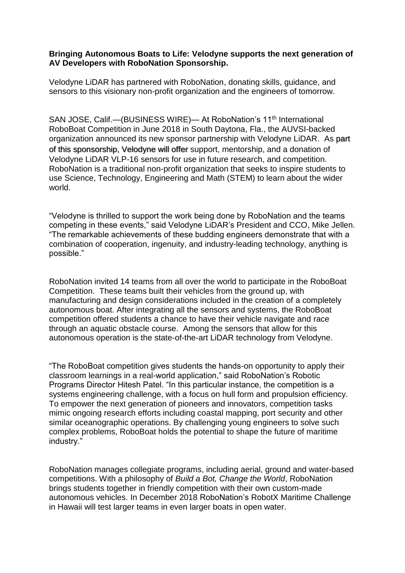## **Bringing Autonomous Boats to Life: Velodyne supports the next generation of AV Developers with RoboNation Sponsorship.**

Velodyne LiDAR has partnered with RoboNation, donating skills, guidance, and sensors to this visionary non-profit organization and the engineers of tomorrow.

SAN JOSE, Calif.—(BUSINESS WIRE)— At RoboNation's 11<sup>th</sup> International RoboBoat Competition in June 2018 in South Daytona, Fla., the AUVSI-backed organization announced its new sponsor partnership with Velodyne LiDAR. As part of this sponsorship, Velodyne will offer support, mentorship, and a donation of Velodyne LiDAR VLP-16 sensors for use in future research, and competition. RoboNation is a traditional non-profit organization that seeks to inspire students to use Science, Technology, Engineering and Math (STEM) to learn about the wider world.

"Velodyne is thrilled to support the work being done by RoboNation and the teams competing in these events," said Velodyne LiDAR's President and CCO, Mike Jellen. "The remarkable achievements of these budding engineers demonstrate that with a combination of cooperation, ingenuity, and industry-leading technology, anything is possible."

RoboNation invited 14 teams from all over the world to participate in the RoboBoat Competition. These teams built their vehicles from the ground up, with manufacturing and design considerations included in the creation of a completely autonomous boat. After integrating all the sensors and systems, the RoboBoat competition offered students a chance to have their vehicle navigate and race through an aquatic obstacle course. Among the sensors that allow for this autonomous operation is the state-of-the-art LiDAR technology from Velodyne.

"The RoboBoat competition gives students the hands-on opportunity to apply their classroom learnings in a real-world application," said RoboNation's Robotic Programs Director Hitesh Patel. "In this particular instance, the competition is a systems engineering challenge, with a focus on hull form and propulsion efficiency. To empower the next generation of pioneers and innovators, competition tasks mimic ongoing research efforts including coastal mapping, port security and other similar oceanographic operations. By challenging young engineers to solve such complex problems, RoboBoat holds the potential to shape the future of maritime industry."

RoboNation manages collegiate programs, including aerial, ground and water-based competitions. With a philosophy of *Build a Bot, Change the World*, RoboNation brings students together in friendly competition with their own custom-made autonomous vehicles. In December 2018 RoboNation's RobotX Maritime Challenge in Hawaii will test larger teams in even larger boats in open water.